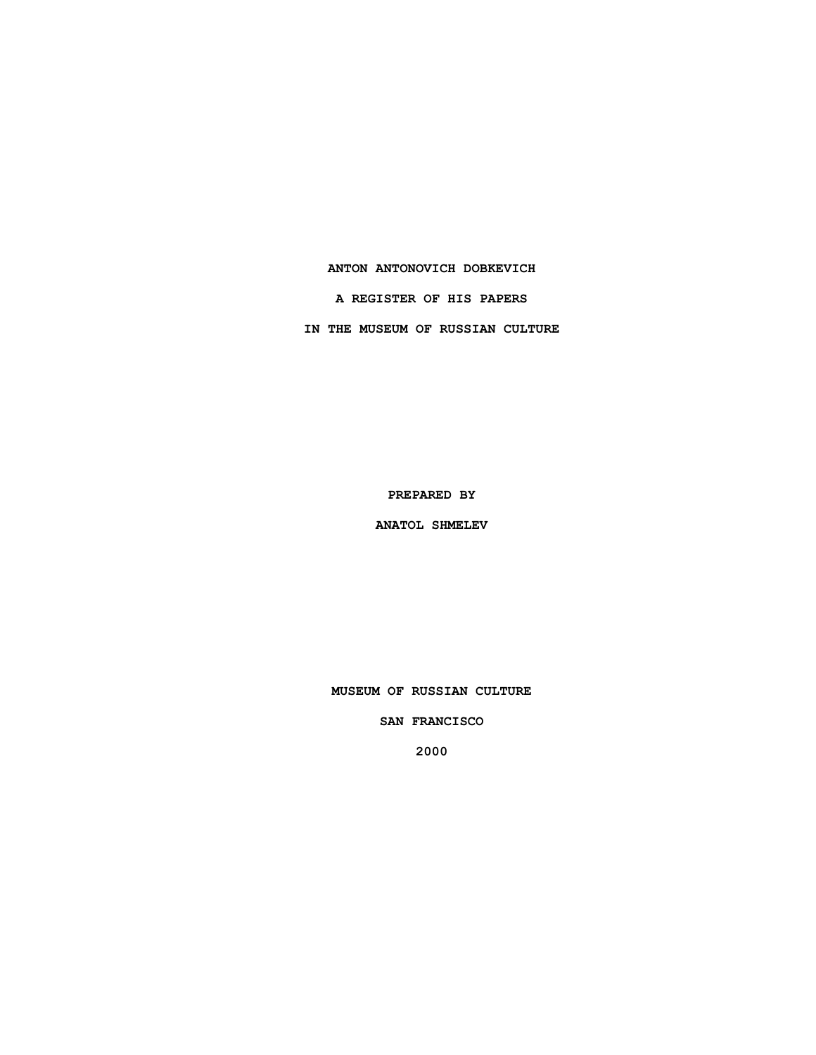### **ANTON ANTONOVICH DOBKEVICH**

**A REGISTER OF HIS PAPERS**

**IN THE MUSEUM OF RUSSIAN CULTURE**

**PREPARED BY**

**ANATOL SHMELEV**

**MUSEUM OF RUSSIAN CULTURE**

**SAN FRANCISCO**

**2000**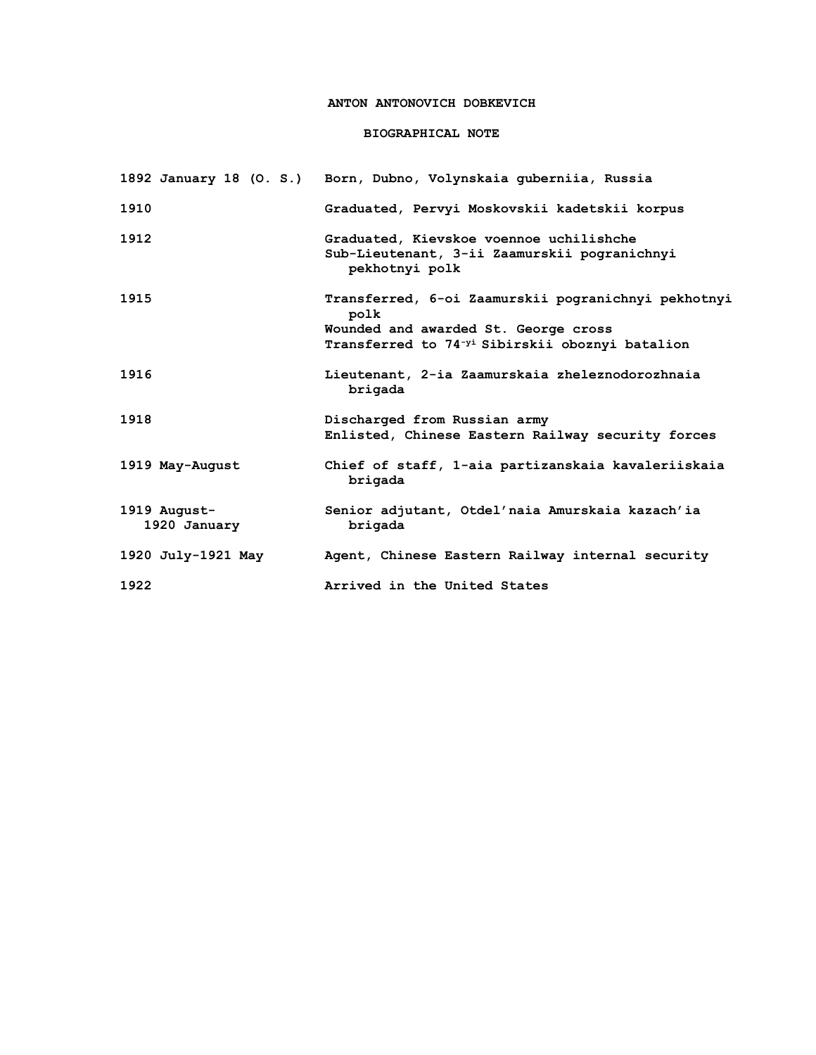## **ANTON ANTONOVICH DOBKEVICH**

## **BIOGRAPHICAL NOTE**

|                              | 1892 January 18 (O. S.) Born, Dubno, Volynskaia guberniia, Russia                                                                                                  |
|------------------------------|--------------------------------------------------------------------------------------------------------------------------------------------------------------------|
| 1910                         | Graduated, Pervyi Moskovskii kadetskii korpus                                                                                                                      |
| 1912                         | Graduated, Kievskoe voennoe uchilishche<br>Sub-Lieutenant, 3-ii Zaamurskii pogranichnyi<br>pekhotnyi polk                                                          |
| 1915                         | Transferred, 6-oi Zaamurskii pogranichnyi pekhotnyi<br>polk<br>Wounded and awarded St. George cross<br>Transferred to 74 <sup>-yi</sup> Sibirskii oboznyi batalion |
| 1916                         | Lieutenant, 2-ia Zaamurskaia zheleznodorozhnaia<br>brigada                                                                                                         |
| 1918                         | Discharged from Russian army<br>Enlisted, Chinese Eastern Railway security forces                                                                                  |
| 1919 May-August              | Chief of staff, 1-aia partizanskaia kavaleriiskaia<br>brigada                                                                                                      |
| 1919 August-<br>1920 January | Senior adjutant, Otdel'naia Amurskaia kazach'ia<br>brigada                                                                                                         |
| 1920 July-1921 May           | Agent, Chinese Eastern Railway internal security                                                                                                                   |
| 1922                         | Arrived in the United States                                                                                                                                       |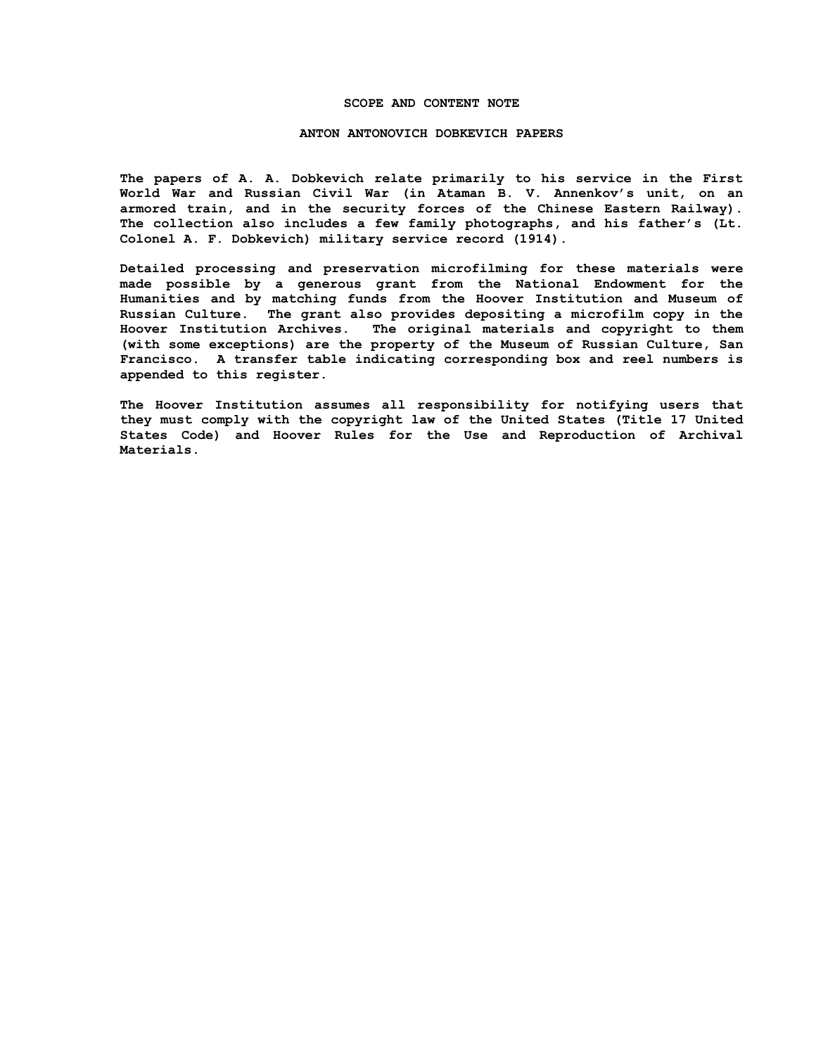#### **SCOPE AND CONTENT NOTE**

#### **ANTON ANTONOVICH DOBKEVICH PAPERS**

**The papers of A. A. Dobkevich relate primarily to his service in the First World War and Russian Civil War (in Ataman B. V. Annenkov's unit, on an armored train, and in the security forces of the Chinese Eastern Railway). The collection also includes a few family photographs, and his father's (Lt. Colonel A. F. Dobkevich) military service record (1914).**

**Detailed processing and preservation microfilming for these materials were made possible by a generous grant from the National Endowment for the Humanities and by matching funds from the Hoover Institution and Museum of Russian Culture. The grant also provides depositing a microfilm copy in the Hoover Institution Archives. The original materials and copyright to them (with some exceptions) are the property of the Museum of Russian Culture, San Francisco. A transfer table indicating corresponding box and reel numbers is appended to this register.**

**The Hoover Institution assumes all responsibility for notifying users that they must comply with the copyright law of the United States (Title 17 United States Code) and Hoover Rules for the Use and Reproduction of Archival Materials.**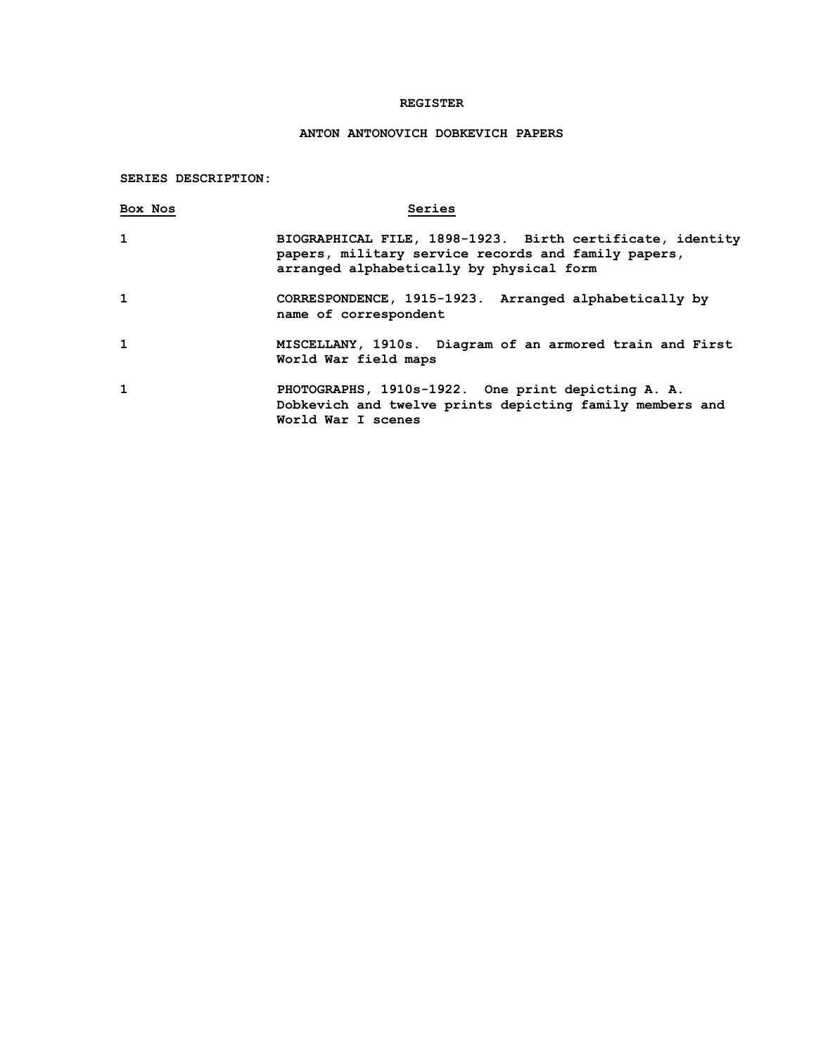## **REGISTER**

# **ANTON ANTONOVICH DOBKEVICH PAPERS**

## **SERIES DESCRIPTION:**

| Box Nos      | Series                                                                                                                                                       |
|--------------|--------------------------------------------------------------------------------------------------------------------------------------------------------------|
| $\mathbf{1}$ | BIOGRAPHICAL FILE, 1898-1923. Birth certificate, identity<br>papers, military service records and family papers,<br>arranged alphabetically by physical form |
| 1            | CORRESPONDENCE, 1915-1923. Arranged alphabetically by<br>name of correspondent                                                                               |
| 1            | MISCELLANY, 1910s. Diagram of an armored train and First<br>World War field maps                                                                             |
| 1            | PHOTOGRAPHS, 1910s-1922. One print depicting A. A.<br>Dobkevich and twelve prints depicting family members and<br>World War I scenes                         |